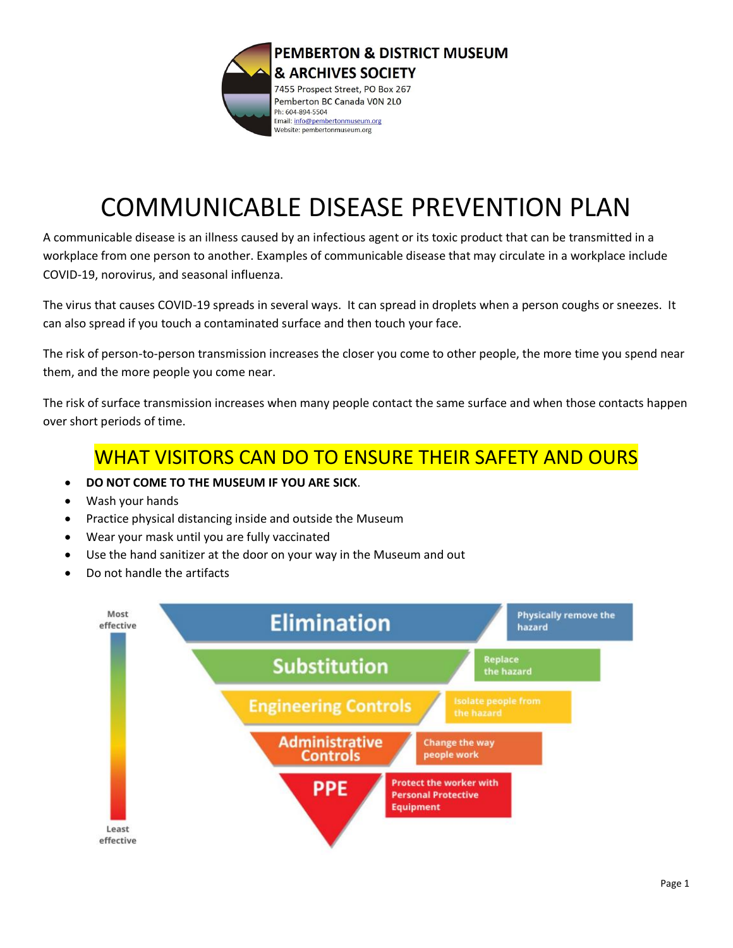

# COMMUNICABLE DISEASE PREVENTION PLAN

A communicable disease is an illness caused by an infectious agent or its toxic product that can be transmitted in a workplace from one person to another. Examples of communicable disease that may circulate in a workplace include COVID-19, norovirus, and seasonal influenza.

The virus that causes COVID-19 spreads in several ways. It can spread in droplets when a person coughs or sneezes. It can also spread if you touch a contaminated surface and then touch your face.

The risk of person-to-person transmission increases the closer you come to other people, the more time you spend near them, and the more people you come near.

The risk of surface transmission increases when many people contact the same surface and when those contacts happen over short periods of time.

## WHAT VISITORS CAN DO TO ENSURE THEIR SAFETY AND OURS

- **DO NOT COME TO THE MUSEUM IF YOU ARE SICK**.
- Wash your hands
- Practice physical distancing inside and outside the Museum
- Wear your mask until you are fully vaccinated
- Use the hand sanitizer at the door on your way in the Museum and out
- Do not handle the artifacts

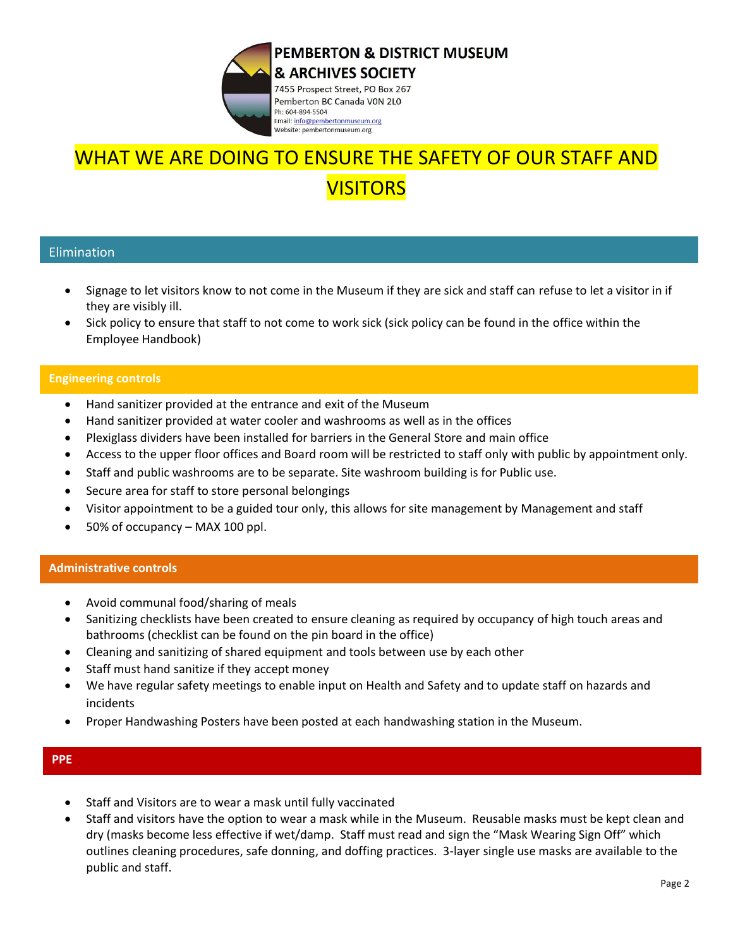

## WHAT WE ARE DOING TO ENSURE THE SAFETY OF OUR STAFF AND **VISITORS**

### Elimination

- Signage to let visitors know to not come in the Museum if they are sick and staff can refuse to let a visitor in if they are visibly ill.
- Sick policy to ensure that staff to not come to work sick (sick policy can be found in the office within the Employee Handbook)

#### **Engineering controls**

- Hand sanitizer provided at the entrance and exit of the Museum
- Hand sanitizer provided at water cooler and washrooms as well as in the offices
- Plexiglass dividers have been installed for barriers in the General Store and main office
- Access to the upper floor offices and Board room will be restricted to staff only with public by appointment only.
- Staff and public washrooms are to be separate. Site washroom building is for Public use.
- Secure area for staff to store personal belongings
- Visitor appointment to be a guided tour only, this allows for site management by Management and staff
- 50% of occupancy MAX 100 ppl.

### **Administrative controls**

- Avoid communal food/sharing of meals
- Sanitizing checklists have been created to ensure cleaning as required by occupancy of high touch areas and bathrooms (checklist can be found on the pin board in the office)
- Cleaning and sanitizing of shared equipment and tools between use by each other
- Staff must hand sanitize if they accept money
- We have regular safety meetings to enable input on Health and Safety and to update staff on hazards and incidents
- Proper Handwashing Posters have been posted at each handwashing station in the Museum.

#### **PPE**

- Staff and Visitors are to wear a mask until fully vaccinated
- Staff and visitors have the option to wear a mask while in the Museum. Reusable masks must be kept clean and dry (masks become less effective if wet/damp. Staff must read and sign the "Mask Wearing Sign Off" which outlines cleaning procedures, safe donning, and doffing practices. 3-layer single use masks are available to the public and staff.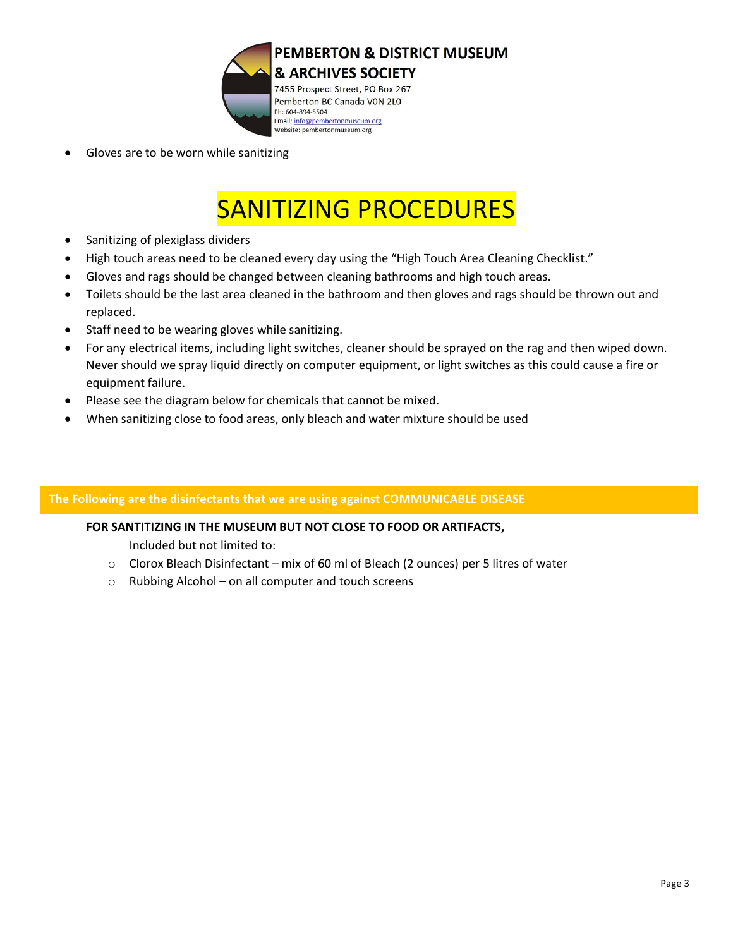

• Gloves are to be worn while sanitizing

# SANITIZING PROCEDURES

- Sanitizing of plexiglass dividers
- High touch areas need to be cleaned every day using the "High Touch Area Cleaning Checklist."
- Gloves and rags should be changed between cleaning bathrooms and high touch areas.
- Toilets should be the last area cleaned in the bathroom and then gloves and rags should be thrown out and replaced.
- Staff need to be wearing gloves while sanitizing.
- For any electrical items, including light switches, cleaner should be sprayed on the rag and then wiped down. Never should we spray liquid directly on computer equipment, or light switches as this could cause a fire or equipment failure.
- Please see the diagram below for chemicals that cannot be mixed.
- When sanitizing close to food areas, only bleach and water mixture should be used

### **The Following are the disinfectants that we are using against COMMUNICABLE DISEASE**

### **FOR SANTITIZING IN THE MUSEUM BUT NOT CLOSE TO FOOD OR ARTIFACTS,**

Included but not limited to:

- $\circ$  Clorox Bleach Disinfectant mix of 60 ml of Bleach (2 ounces) per 5 litres of water
- o Rubbing Alcohol on all computer and touch screens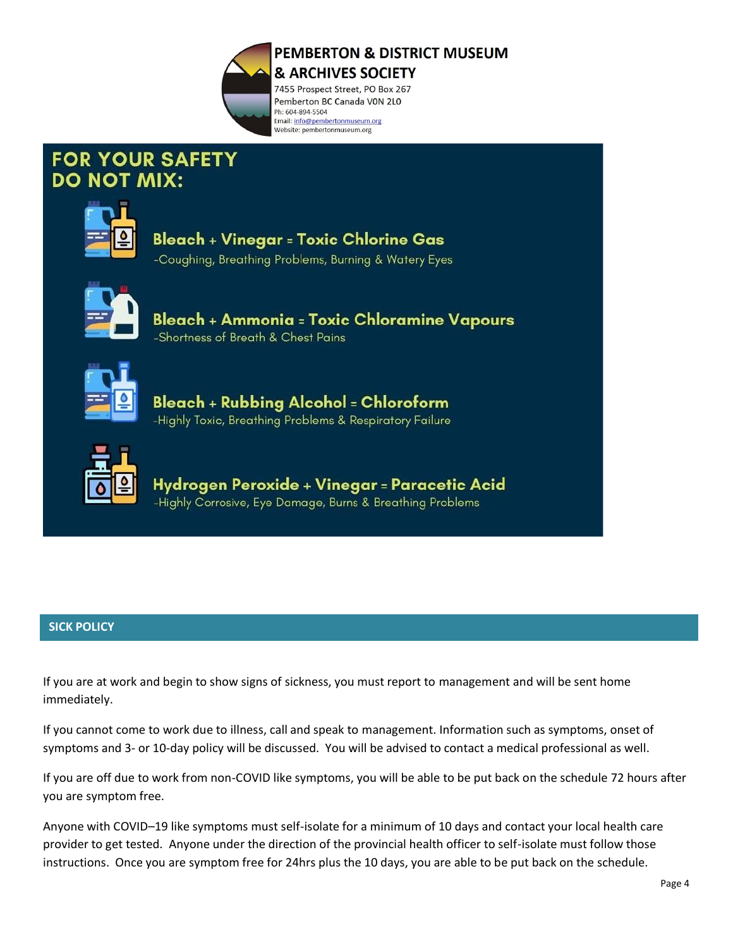

## **FOR YOUR SAFETY DO NOT MIX:**



# **Bleach + Vinegar = Toxic Chlorine Gas**

-Coughing, Breathing Problems, Burning & Watery Eyes



Bleach + Ammonia = Toxic Chloramine Vapours -Shortness of Breath & Chest Pains



**Bleach + Rubbing Alcohol = Chloroform** -Highly Toxic, Breathing Problems & Respiratory Failure



Hydrogen Peroxide + Vinegar = Paracetic Acid -Highly Corrosive, Eye Damage, Burns & Breathing Problems

## **SICK POLICY**

If you are at work and begin to show signs of sickness, you must report to management and will be sent home immediately.

If you cannot come to work due to illness, call and speak to management. Information such as symptoms, onset of symptoms and 3- or 10-day policy will be discussed. You will be advised to contact a medical professional as well.

If you are off due to work from non-COVID like symptoms, you will be able to be put back on the schedule 72 hours after you are symptom free.

Anyone with COVID–19 like symptoms must self-isolate for a minimum of 10 days and contact your local health care provider to get tested. Anyone under the direction of the provincial health officer to self-isolate must follow those instructions. Once you are symptom free for 24hrs plus the 10 days, you are able to be put back on the schedule.